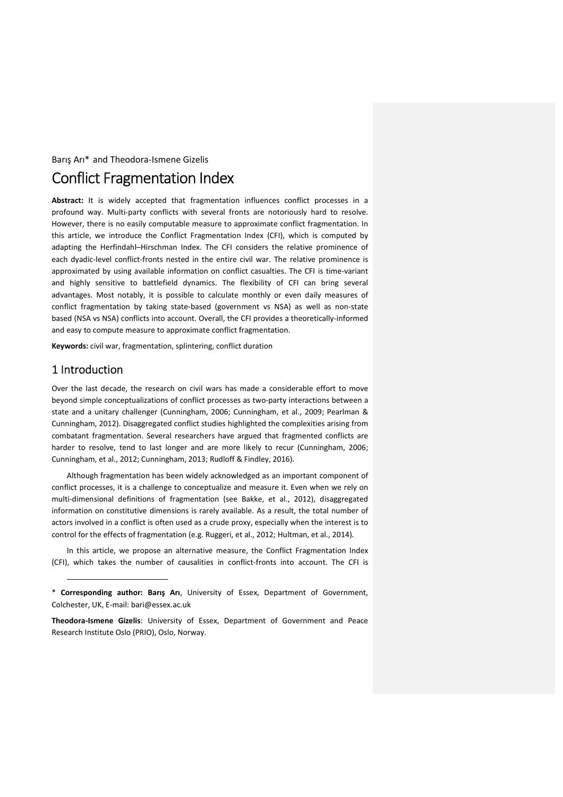#### Barış Arı\* and Theodora-Ismene Gizelis

# Conflict Fragmentation Index

**Abstract:** It is widely accepted that fragmentation influences conflict processes in a profound way. Multi-party conflicts with several fronts are notoriously hard to resolve. However, there is no easily computable measure to approximate conflict fragmentation. In this article, we introduce the Conflict Fragmentation Index (CFI), which is computed by adapting the Herfindahl–Hirschman Index. The CFI considers the relative prominence of each dyadic-level conflict-fronts nested in the entire civil war. The relative prominence is approximated by using available information on conflict casualties. The CFI is time-variant and highly sensitive to battlefield dynamics. The flexibility of CFI can bring several advantages. Most notably, it is possible to calculate monthly or even daily measures of conflict fragmentation by taking state-based (government vs NSA) as well as non-state based (NSA vs NSA) conflicts into account. Overall, the CFI provides a theoretically-informed and easy to compute measure to approximate conflict fragmentation.

**Keywords:** civil war, fragmentation, splintering, conflict duration

# 1 Introduction

j

Over the last decade, the research on civil wars has made a considerable effort to move beyond simple conceptualizations of conflict processes as two-party interactions between a state and a unitary challenger (Cunningham, 2006; Cunningham, et al., 2009; Pearlman & Cunningham, 2012). Disaggregated conflict studies highlighted the complexities arising from combatant fragmentation. Several researchers have argued that fragmented conflicts are harder to resolve, tend to last longer and are more likely to recur (Cunningham, 2006; Cunningham, et al., 2012; Cunningham, 2013; Rudloff & Findley, 2016).

Although fragmentation has been widely acknowledged as an important component of conflict processes, it is a challenge to conceptualize and measure it. Even when we rely on multi-dimensional definitions of fragmentation (see Bakke, et al., 2012), disaggregated information on constitutive dimensions is rarely available. As a result, the total number of actors involved in a conflict is often used as a crude proxy, especially when the interest is to control for the effects of fragmentation (e.g. Ruggeri, et al., 2012; Hultman, et al., 2014).

In this article, we propose an alternative measure, the Conflict Fragmentation Index (CFI), which takes the number of causalities in conflict-fronts into account. The CFI is

<sup>\*</sup> **Corresponding author: Barış Arı**, University of Essex, Department of Government, Colchester, UK, E-mail: bari@essex.ac.uk

**Theodora-Ismene Gizelis**: University of Essex, Department of Government and Peace Research Institute Oslo (PRIO), Oslo, Norway.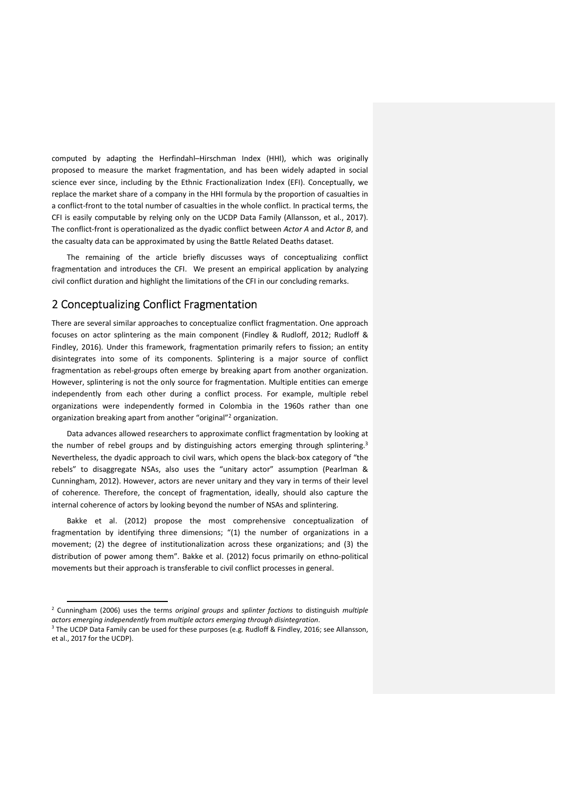computed by adapting the Herfindahl–Hirschman Index (HHI), which was originally proposed to measure the market fragmentation, and has been widely adapted in social science ever since, including by the Ethnic Fractionalization Index (EFI). Conceptually, we replace the market share of a company in the HHI formula by the proportion of casualties in a conflict-front to the total number of casualties in the whole conflict. In practical terms, the CFI is easily computable by relying only on the UCDP Data Family (Allansson, et al., 2017). The conflict-front is operationalized as the dyadic conflict between *Actor A* and *Actor B*, and the casualty data can be approximated by using the Battle Related Deaths dataset.

The remaining of the article briefly discusses ways of conceptualizing conflict fragmentation and introduces the CFI. We present an empirical application by analyzing civil conflict duration and highlight the limitations of the CFI in our concluding remarks.

## 2 Conceptualizing Conflict Fragmentation

There are several similar approaches to conceptualize conflict fragmentation. One approach focuses on actor splintering as the main component (Findley & Rudloff, 2012; Rudloff & Findley, 2016). Under this framework, fragmentation primarily refers to fission; an entity disintegrates into some of its components. Splintering is a major source of conflict fragmentation as rebel-groups often emerge by breaking apart from another organization. However, splintering is not the only source for fragmentation. Multiple entities can emerge independently from each other during a conflict process. For example, multiple rebel organizations were independently formed in Colombia in the 1960s rather than one organization breaking apart from another "original"<sup>2</sup> organization.

Data advances allowed researchers to approximate conflict fragmentation by looking at the number of rebel groups and by distinguishing actors emerging through splintering.<sup>3</sup> Nevertheless, the dyadic approach to civil wars, which opens the black-box category of "the rebels" to disaggregate NSAs, also uses the "unitary actor" assumption (Pearlman & Cunningham, 2012). However, actors are never unitary and they vary in terms of their level of coherence. Therefore, the concept of fragmentation, ideally, should also capture the internal coherence of actors by looking beyond the number of NSAs and splintering.

Bakke et al. (2012) propose the most comprehensive conceptualization of fragmentation by identifying three dimensions; "(1) the number of organizations in a movement; (2) the degree of institutionalization across these organizations; and (3) the distribution of power among them". Bakke et al. (2012) focus primarily on ethno-political movements but their approach is transferable to civil conflict processes in general.

l

<sup>2</sup> Cunningham (2006) uses the terms *original groups* and *splinter factions* to distinguish *multiple actors emerging independently* from *multiple actors emerging through disintegration*.

<sup>&</sup>lt;sup>3</sup> The UCDP Data Family can be used for these purposes (e.g. Rudloff & Findley, 2016; see Allansson, et al., 2017 for the UCDP).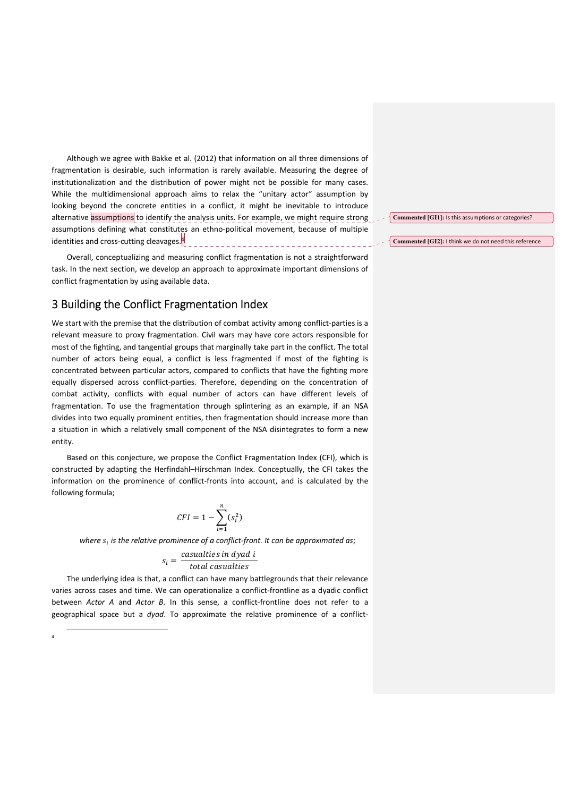Although we agree with Bakke et al. (2012) that information on all three dimensions of fragmentation is desirable, such information is rarely available. Measuring the degree of institutionalization and the distribution of power might not be possible for many cases. While the multidimensional approach aims to relax the "unitary actor" assumption by looking beyond the concrete entities in a conflict, it might be inevitable to introduce alternative assumptions to identify the analysis units. For example, we might require strong assumptions defining what constitutes an ethno-political movement, because of multiple identities and cross-cutting cleavages.<sup>4</sup> \_\_\_\_\_\_\_\_\_\_\_\_\_\_\_\_\_\_\_\_\_\_\_\_\_\_\_\_\_\_\_

Overall, conceptualizing and measuring conflict fragmentation is not a straightforward task. In the next section, we develop an approach to approximate important dimensions of conflict fragmentation by using available data.

#### 3 Building the Conflict Fragmentation Index

We start with the premise that the distribution of combat activity among conflict-parties is a relevant measure to proxy fragmentation. Civil wars may have core actors responsible for most of the fighting, and tangential groups that marginally take part in the conflict. The total number of actors being equal, a conflict is less fragmented if most of the fighting is concentrated between particular actors, compared to conflicts that have the fighting more equally dispersed across conflict-parties. Therefore, depending on the concentration of combat activity, conflicts with equal number of actors can have different levels of fragmentation. To use the fragmentation through splintering as an example, if an NSA divides into two equally prominent entities, then fragmentation should increase more than a situation in which a relatively small component of the NSA disintegrates to form a new entity.

Based on this conjecture, we propose the Conflict Fragmentation Index (CFI), which is constructed by adapting the Herfindahl–Hirschman Index. Conceptually, the CFI takes the information on the prominence of conflict-fronts into account, and is calculated by the following formula;

$$
CFI = 1 - \sum_{i=1}^{n} (s_i^2)
$$

where  $s_i$  is the relative prominence of a conflict-front. It can be approximated as;

$$
s_i = \frac{casualties \text{ in } dyad \text{ i}}{\text{total }casualties}
$$

The underlying idea is that, a conflict can have many battlegrounds that their relevance varies across cases and time. We can operationalize a conflict-frontline as a dyadic conflict between *Actor A* and *Actor B*. In this sense, a conflict-frontline does not refer to a geographical space but a *dyad*. To approximate the relative prominence of a conflict-

1 4

**Commented [GI1]:** Is this assumptions or categories?

**Commented [GI2]:** I think we do not need this reference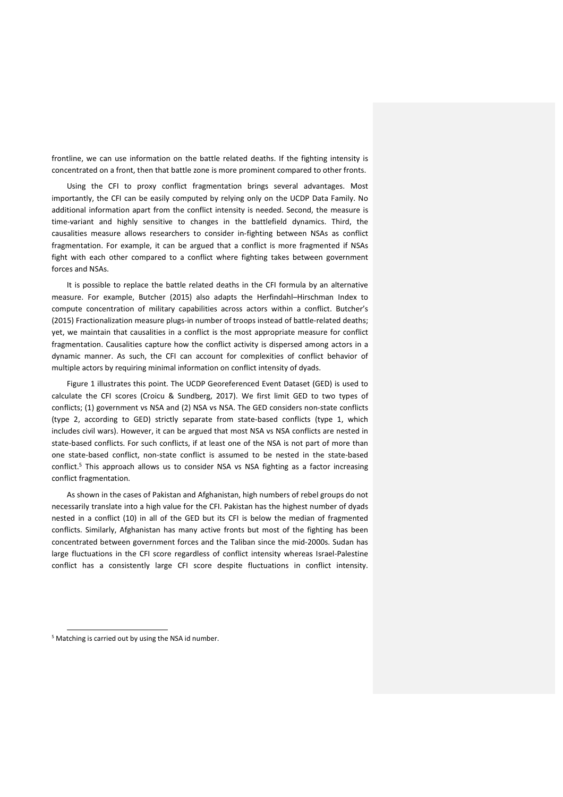frontline, we can use information on the battle related deaths. If the fighting intensity is concentrated on a front, then that battle zone is more prominent compared to other fronts.

Using the CFI to proxy conflict fragmentation brings several advantages. Most importantly, the CFI can be easily computed by relying only on the UCDP Data Family. No additional information apart from the conflict intensity is needed. Second, the measure is time-variant and highly sensitive to changes in the battlefield dynamics. Third, the causalities measure allows researchers to consider in-fighting between NSAs as conflict fragmentation. For example, it can be argued that a conflict is more fragmented if NSAs fight with each other compared to a conflict where fighting takes between government forces and NSAs.

It is possible to replace the battle related deaths in the CFI formula by an alternative measure. For example, Butcher (2015) also adapts the Herfindahl–Hirschman Index to compute concentration of military capabilities across actors within a conflict. Butcher's (2015) Fractionalization measure plugs-in number of troops instead of battle-related deaths; yet, we maintain that causalities in a conflict is the most appropriate measure for conflict fragmentation. Causalities capture how the conflict activity is dispersed among actors in a dynamic manner. As such, the CFI can account for complexities of conflict behavior of multiple actors by requiring minimal information on conflict intensity of dyads.

Figure 1 illustrates this point. The UCDP Georeferenced Event Dataset (GED) is used to calculate the CFI scores (Croicu & Sundberg, 2017). We first limit GED to two types of conflicts; (1) government vs NSA and (2) NSA vs NSA. The GED considers non-state conflicts (type 2, according to GED) strictly separate from state-based conflicts (type 1, which includes civil wars). However, it can be argued that most NSA vs NSA conflicts are nested in state-based conflicts. For such conflicts, if at least one of the NSA is not part of more than one state-based conflict, non-state conflict is assumed to be nested in the state-based conflict.<sup>5</sup> This approach allows us to consider NSA vs NSA fighting as a factor increasing conflict fragmentation.

As shown in the cases of Pakistan and Afghanistan, high numbers of rebel groups do not necessarily translate into a high value for the CFI. Pakistan has the highest number of dyads nested in a conflict (10) in all of the GED but its CFI is below the median of fragmented conflicts. Similarly, Afghanistan has many active fronts but most of the fighting has been concentrated between government forces and the Taliban since the mid-2000s. Sudan has large fluctuations in the CFI score regardless of conflict intensity whereas Israel-Palestine conflict has a consistently large CFI score despite fluctuations in conflict intensity.

1

<sup>&</sup>lt;sup>5</sup> Matching is carried out by using the NSA id number.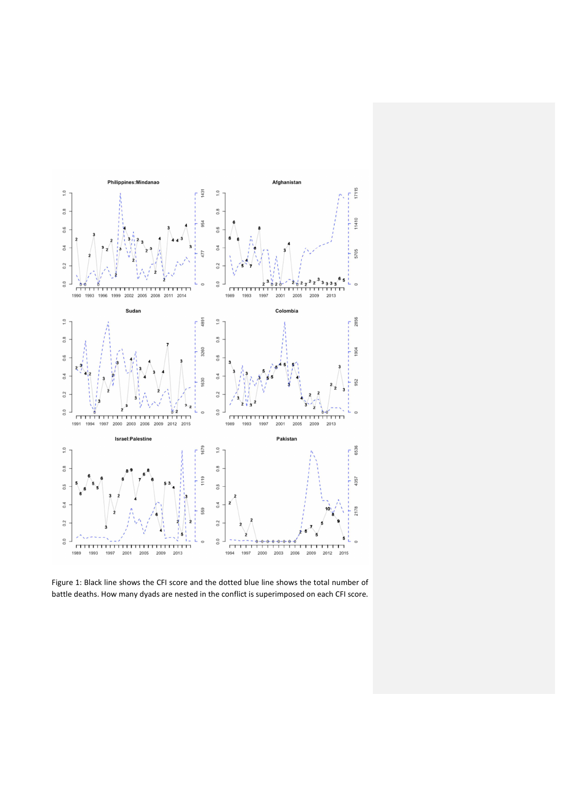

Figure 1: Black line shows the CFI score and the dotted blue line shows the total number of battle deaths. How many dyads are nested in the conflict is superimposed on each CFI score.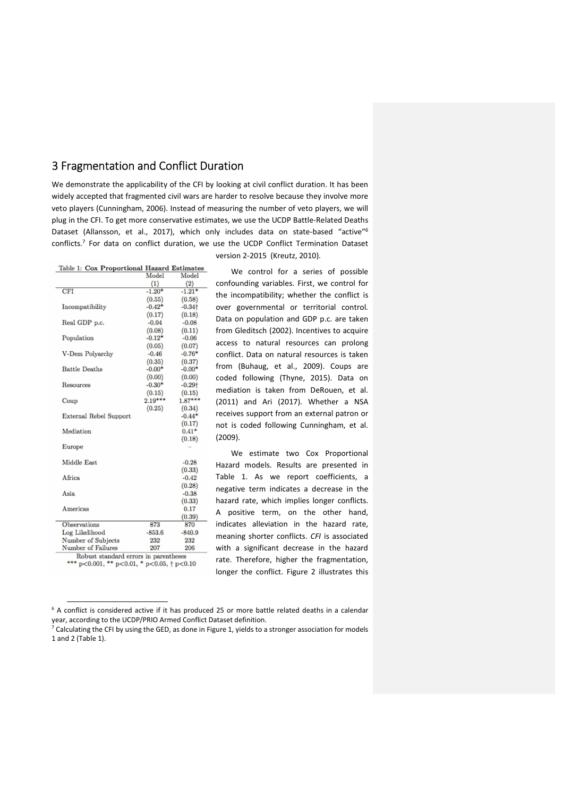# 3 Fragmentation and Conflict Duration

We demonstrate the applicability of the CFI by looking at civil conflict duration. It has been widely accepted that fragmented civil wars are harder to resolve because they involve more veto players (Cunningham, 2006). Instead of measuring the number of veto players, we will plug in the CFI. To get more conservative estimates, we use the UCDP Battle-Related Deaths Dataset (Allansson, et al., 2017), which only includes data on state-based "active"<sup>6</sup> conflicts.<sup>7</sup> For data on conflict duration, we use the UCDP Conflict Termination Dataset version 2-2015 (Kreutz, 2010).

| Table 1: Cox Proportional Hazard Estimates |           |           |
|--------------------------------------------|-----------|-----------|
|                                            | Model     | Model     |
|                                            | (1)       | (2)       |
| <b>CFI</b>                                 | $-1.20*$  | $-1.21*$  |
|                                            | (0.55)    | (0.58)    |
| Incompatibility                            | $-0.42*$  | $-0.34$ † |
|                                            | (0.17)    | (0.18)    |
| Real GDP p.c.                              | $-0.04$   | $-0.08$   |
|                                            | (0.08)    | (0.11)    |
| Population                                 | $-0.12*$  | $-0.06$   |
|                                            | (0.05)    | (0.07)    |
| V-Dem Polyarchy                            | $-0.46$   | $-0.76*$  |
|                                            | (0.35)    | (0.37)    |
| <b>Battle Deaths</b>                       | $-0.00*$  | $-0.00*$  |
|                                            | (0.00)    | (0.00)    |
| <b>Resources</b>                           | $-0.30*$  | $-0.29$ t |
|                                            | (0.15)    | (0.15)    |
| Coup                                       | $2.19***$ | $1.87***$ |
|                                            | (0.25)    | (0.34)    |
| <b>External Rebel Support</b>              |           | $-0.44*$  |
|                                            |           | (0.17)    |
| Mediation                                  |           | $0.41*$   |
|                                            |           | (0.18)    |
| <b>Europe</b>                              |           |           |
|                                            |           |           |
| Middle East                                |           | $-0.28$   |
|                                            |           | (0.33)    |
| Africa                                     |           | $-0.42$   |
|                                            |           | (0.28)    |
| Asia                                       |           | $-0.38$   |
|                                            |           | (0.33)    |
| Americas                                   |           | 0.17      |
|                                            |           | (0.39)    |
| <b>Observations</b>                        | 873       | 870       |
| Log Likelihood                             | $-853.6$  | $-840.9$  |
| Number of Subjects                         | 232       | 232       |
| <b>Number of Failures</b>                  | 207       | 206       |
| Robuet standard errors in narentheses      |           |           |

\*\*\*  $p<0.001$ , \*\*  $p<0.01$ , \*  $p<0.05$ , †  $p<0.10$ 

j

We control for a series of possible confounding variables. First, we control for the incompatibility; whether the conflict is over governmental or territorial control. Data on population and GDP p.c. are taken from Gleditsch (2002). Incentives to acquire access to natural resources can prolong conflict. Data on natural resources is taken from (Buhaug, et al., 2009). Coups are coded following (Thyne, 2015). Data on mediation is taken from DeRouen, et al. (2011) and Ari (2017). Whether a NSA receives support from an external patron or not is coded following Cunningham, et al. (2009).

We estimate two Cox Proportional Hazard models. Results are presented in Table 1. As we report coefficients, a negative term indicates a decrease in the hazard rate, which implies longer conflicts. A positive term, on the other hand, indicates alleviation in the hazard rate, meaning shorter conflicts. *CFI* is associated with a significant decrease in the hazard rate. Therefore, higher the fragmentation, longer the conflict. Figure 2 illustrates this

<sup>&</sup>lt;sup>6</sup> A conflict is considered active if it has produced 25 or more battle related deaths in a calendar year, according to the UCDP/PRIO Armed Conflict Dataset definition.

 $7$  Calculating the CFI by using the GED, as done in Figure 1, yields to a stronger association for models 1 and 2 (Table 1).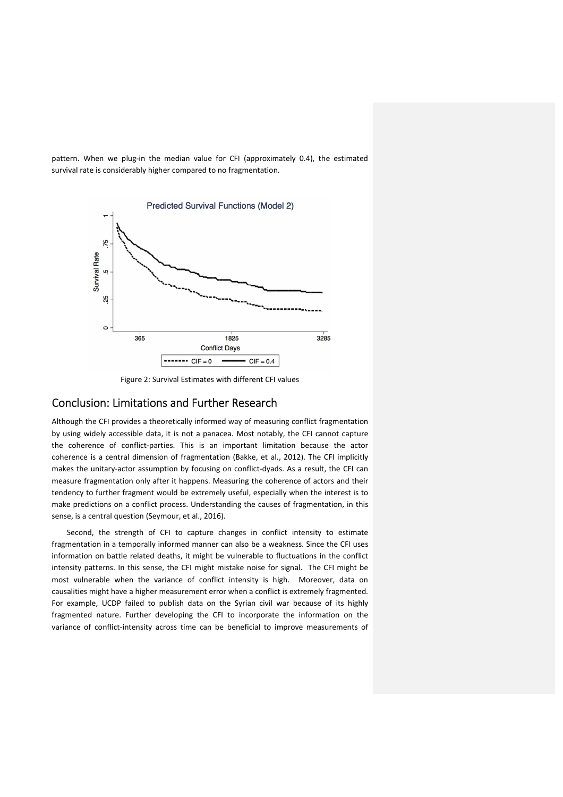pattern. When we plug-in the median value for CFI (approximately 0.4), the estimated survival rate is considerably higher compared to no fragmentation.



Figure 2: Survival Estimates with different CFI values

#### Conclusion: Limitations and Further Research

Although the CFI provides a theoretically informed way of measuring conflict fragmentation by using widely accessible data, it is not a panacea. Most notably, the CFI cannot capture the coherence of conflict-parties. This is an important limitation because the actor coherence is a central dimension of fragmentation (Bakke, et al., 2012). The CFI implicitly makes the unitary-actor assumption by focusing on conflict-dyads. As a result, the CFI can measure fragmentation only after it happens. Measuring the coherence of actors and their tendency to further fragment would be extremely useful, especially when the interest is to make predictions on a conflict process. Understanding the causes of fragmentation, in this sense, is a central question (Seymour, et al., 2016).

Second, the strength of CFI to capture changes in conflict intensity to estimate fragmentation in a temporally informed manner can also be a weakness. Since the CFI uses information on battle related deaths, it might be vulnerable to fluctuations in the conflict intensity patterns. In this sense, the CFI might mistake noise for signal. The CFI might be most vulnerable when the variance of conflict intensity is high. Moreover, data on causalities might have a higher measurement error when a conflict is extremely fragmented. For example, UCDP failed to publish data on the Syrian civil war because of its highly fragmented nature. Further developing the CFI to incorporate the information on the variance of conflict-intensity across time can be beneficial to improve measurements of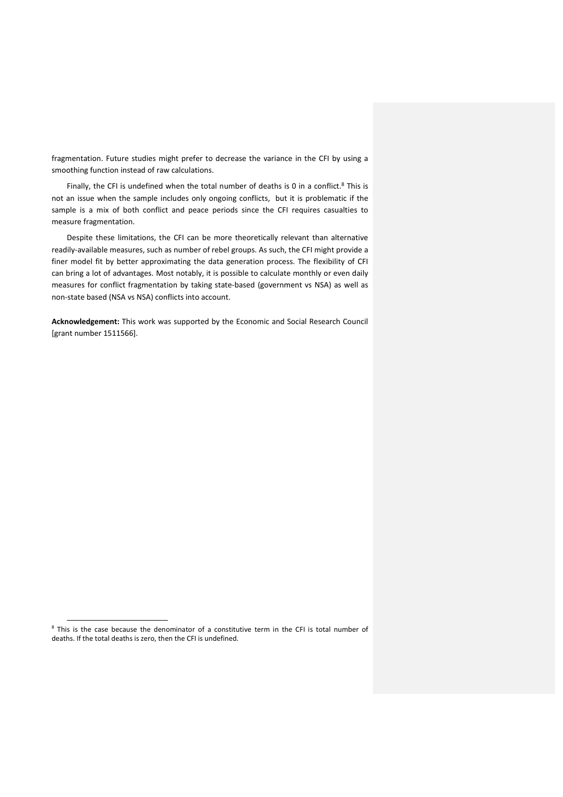fragmentation. Future studies might prefer to decrease the variance in the CFI by using a smoothing function instead of raw calculations.

Finally, the CFI is undefined when the total number of deaths is 0 in a conflict.<sup>8</sup> This is not an issue when the sample includes only ongoing conflicts, but it is problematic if the sample is a mix of both conflict and peace periods since the CFI requires casualties to measure fragmentation.

Despite these limitations, the CFI can be more theoretically relevant than alternative readily-available measures, such as number of rebel groups. As such, the CFI might provide a finer model fit by better approximating the data generation process. The flexibility of CFI can bring a lot of advantages. Most notably, it is possible to calculate monthly or even daily measures for conflict fragmentation by taking state-based (government vs NSA) as well as non-state based (NSA vs NSA) conflicts into account.

**Acknowledgement:** This work was supported by the Economic and Social Research Council [grant number 1511566].

l

<sup>&</sup>lt;sup>8</sup> This is the case because the denominator of a constitutive term in the CFI is total number of deaths. If the total deaths is zero, then the CFI is undefined.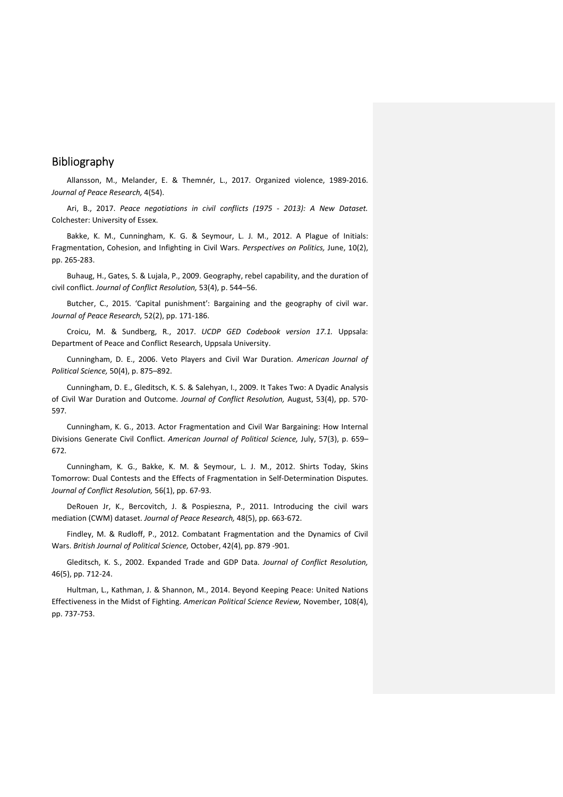### Bibliography

Allansson, M., Melander, E. & Themnér, L., 2017. Organized violence, 1989-2016. *Journal of Peace Research,* 4(54).

Ari, B., 2017. *Peace negotiations in civil conflicts (1975 - 2013): A New Dataset.*  Colchester: University of Essex.

Bakke, K. M., Cunningham, K. G. & Seymour, L. J. M., 2012. A Plague of Initials: Fragmentation, Cohesion, and Infighting in Civil Wars. *Perspectives on Politics,* June, 10(2), pp. 265-283.

Buhaug, H., Gates, S. & Lujala, P., 2009. Geography, rebel capability, and the duration of civil conflict. *Journal of Conflict Resolution,* 53(4), p. 544–56.

Butcher, C., 2015. 'Capital punishment': Bargaining and the geography of civil war. *Journal of Peace Research,* 52(2), pp. 171-186.

Croicu, M. & Sundberg, R., 2017. *UCDP GED Codebook version 17.1.* Uppsala: Department of Peace and Conflict Research, Uppsala University.

Cunningham, D. E., 2006. Veto Players and Civil War Duration. *American Journal of Political Science,* 50(4), p. 875–892.

Cunningham, D. E., Gleditsch, K. S. & Salehyan, I., 2009. It Takes Two: A Dyadic Analysis of Civil War Duration and Outcome. *Journal of Conflict Resolution,* August, 53(4), pp. 570- 597.

Cunningham, K. G., 2013. Actor Fragmentation and Civil War Bargaining: How Internal Divisions Generate Civil Conflict. *American Journal of Political Science,* July, 57(3), p. 659– 672.

Cunningham, K. G., Bakke, K. M. & Seymour, L. J. M., 2012. Shirts Today, Skins Tomorrow: Dual Contests and the Effects of Fragmentation in Self-Determination Disputes. *Journal of Conflict Resolution,* 56(1), pp. 67-93.

DeRouen Jr, K., Bercovitch, J. & Pospieszna, P., 2011. Introducing the civil wars mediation (CWM) dataset. *Journal of Peace Research,* 48(5), pp. 663-672.

Findley, M. & Rudloff, P., 2012. Combatant Fragmentation and the Dynamics of Civil Wars. *British Journal of Political Science,* October, 42(4), pp. 879 -901.

Gleditsch, K. S., 2002. Expanded Trade and GDP Data. *Journal of Conflict Resolution,*  46(5), pp. 712-24.

Hultman, L., Kathman, J. & Shannon, M., 2014. Beyond Keeping Peace: United Nations Effectiveness in the Midst of Fighting. *American Political Science Review,* November, 108(4), pp. 737-753.